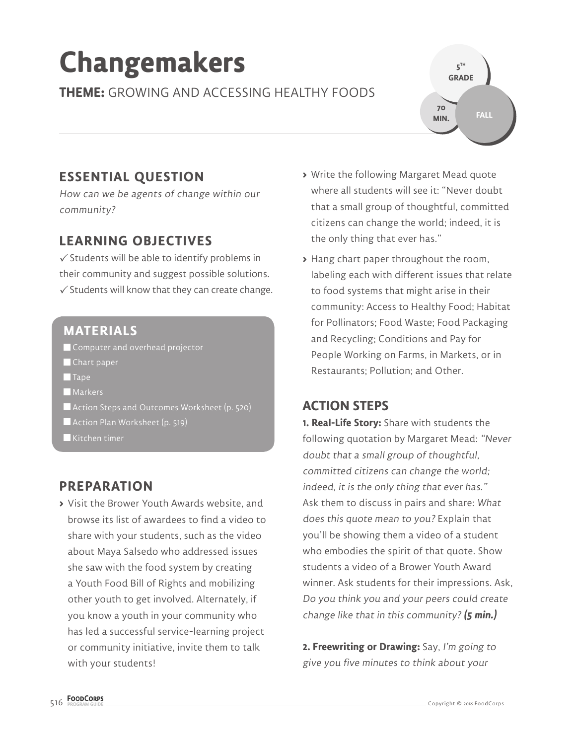# **Changemakers**

**THEME:** GROWING AND ACCESSING HEALTHY FOODS

**ESSENTIAL QUESTION**

How can we be agents of change within our community?

## **LEARNING OBJECTIVES**

 $\checkmark$  Students will be able to identify problems in their community and suggest possible solutions.  $\checkmark$  Students will know that they can create change.

#### **MATERIALS**

Computer and overhead projector

- Chart paper
- $\blacksquare$ Tape
- **Markers**
- Action Steps and Outcomes Worksheet (p. 520)
- Action Plan Worksheet (p. 519)
- $\blacksquare$  Kitchen timer

#### **PREPARATION**

**>** Visit the Brower Youth Awards website, and browse its list of awardees to find a video to share with your students, such as the video about Maya Salsedo who addressed issues she saw with the food system by creating a Youth Food Bill of Rights and mobilizing other youth to get involved. Alternately, if you know a youth in your community who has led a successful service-learning project or community initiative, invite them to talk with your students!

**>** Write the following Margaret Mead quote where all students will see it: "Never doubt that a small group of thoughtful, committed citizens can change the world; indeed, it is the only thing that ever has."

**5 TH GRADE** 

**70 MIN.**

**FALL**

**>** Hang chart paper throughout the room, labeling each with different issues that relate to food systems that might arise in their community: Access to Healthy Food; Habitat for Pollinators; Food Waste; Food Packaging and Recycling; Conditions and Pay for People Working on Farms, in Markets, or in Restaurants; Pollution; and Other.

#### **ACTION STEPS**

**1. Real-Life Story:** Share with students the following quotation by Margaret Mead: "Never doubt that a small group of thoughtful, committed citizens can change the world; indeed, it is the only thing that ever has." Ask them to discuss in pairs and share: What does this quote mean to you? Explain that you'll be showing them a video of a student who embodies the spirit of that quote. Show students a video of a Brower Youth Award winner. Ask students for their impressions. Ask, Do you think you and your peers could create change like that in this community? **(5 min.)**

**2. Freewriting or Drawing:** Say, I'm going to give you five minutes to think about your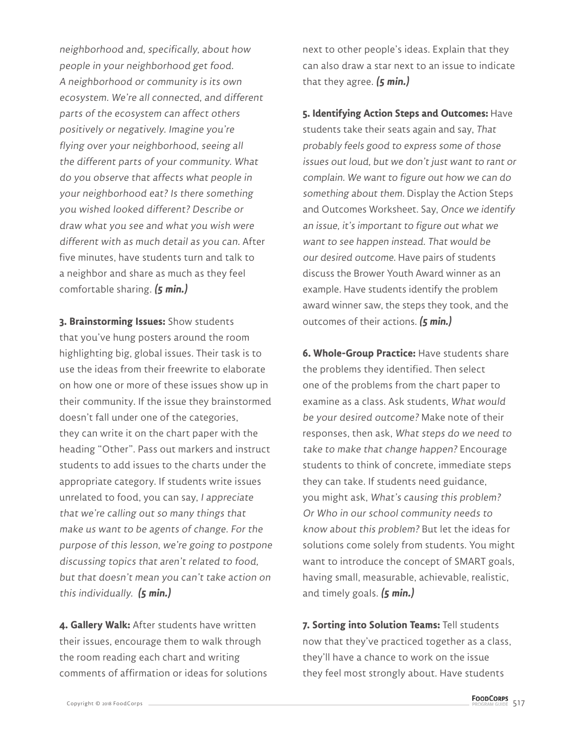neighborhood and, specifically, about how people in your neighborhood get food. A neighborhood or community is its own ecosystem. We're all connected, and different parts of the ecosystem can affect others positively or negatively. Imagine you're flying over your neighborhood, seeing all the different parts of your community. What do you observe that affects what people in your neighborhood eat? Is there something you wished looked different? Describe or draw what you see and what you wish were different with as much detail as you can. After five minutes, have students turn and talk to a neighbor and share as much as they feel comfortable sharing. **(5 min.)**

**3. Brainstorming Issues:** Show students that you've hung posters around the room highlighting big, global issues. Their task is to use the ideas from their freewrite to elaborate on how one or more of these issues show up in their community. If the issue they brainstormed doesn't fall under one of the categories, they can write it on the chart paper with the heading "Other". Pass out markers and instruct students to add issues to the charts under the appropriate category. If students write issues unrelated to food, you can say, I appreciate that we're calling out so many things that make us want to be agents of change. For the purpose of this lesson, we're going to postpone discussing topics that aren't related to food, but that doesn't mean you can't take action on this individually. **(5 min.)**

**4. Gallery Walk:** After students have written their issues, encourage them to walk through the room reading each chart and writing comments of affirmation or ideas for solutions

next to other people's ideas. Explain that they can also draw a star next to an issue to indicate that they agree. **(5 min.)**

**5. Identifying Action Steps and Outcomes:** Have students take their seats again and say, That probably feels good to express some of those issues out loud, but we don't just want to rant or complain. We want to figure out how we can do something about them. Display the Action Steps and Outcomes Worksheet. Say, Once we identify an issue, it's important to figure out what we want to see happen instead. That would be our desired outcome. Have pairs of students discuss the Brower Youth Award winner as an example. Have students identify the problem award winner saw, the steps they took, and the outcomes of their actions. **(5 min.)**

**6. Whole-Group Practice:** Have students share the problems they identified. Then select one of the problems from the chart paper to examine as a class. Ask students, What would be your desired outcome? Make note of their responses, then ask, What steps do we need to take to make that change happen? Encourage students to think of concrete, immediate steps they can take. If students need guidance, you might ask, What's causing this problem? Or Who in our school community needs to know about this problem? But let the ideas for solutions come solely from students. You might want to introduce the concept of SMART goals, having small, measurable, achievable, realistic, and timely goals. **(5 min.)**

**7. Sorting into Solution Teams:** Tell students now that they've practiced together as a class, they'll have a chance to work on the issue they feel most strongly about. Have students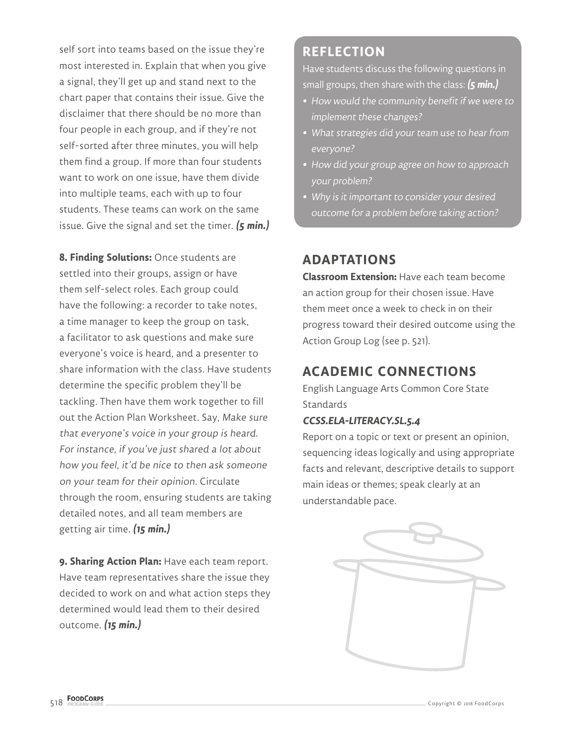self sort into teams based on the issue they're most interested in. Explain that when you give a signal, they'll get up and stand next to the chart paper that contains their issue. Give the disclaimer that there should be no more than four people in each group, and if they're not self-sorted after three minutes, you will help them find a group. If more than four students want to work on one issue, have them divide into multiple teams, each with up to four students. These teams can work on the same issue. Give the signal and set the timer. **(5 min.)**

**8. Finding Solutions:** Once students are settled into their groups, assign or have them self-select roles. Each group could have the following: a recorder to take notes, a time manager to keep the group on task, a facilitator to ask questions and make sure everyone's voice is heard, and a presenter to share information with the class. Have students determine the specific problem they'll be tackling. Then have them work together to fill out the Action Plan Worksheet. Say, Make sure that everyone's voice in your group is heard. For instance, if you've just shared a lot about how you feel, it'd be nice to then ask someone on your team for their opinion. Circulate through the room, ensuring students are taking detailed notes, and all team members are getting air time. **(15 min.)**

**9. Sharing Action Plan:** Have each team report. Have team representatives share the issue they decided to work on and what action steps they determined would lead them to their desired outcome. **(15 min.)**

#### **REFLECTION**

Have students discuss the following questions in small groups, then share with the class: **(5 min.)**

- **•** How would the community benefit if we were to implement these changes?
- **•** What strategies did your team use to hear from everyone?
- **•** How did your group agree on how to approach your problem?
- **•** Why is it important to consider your desired outcome for a problem before taking action?

### **ADAPTATIONS**

**Classroom Extension:** Have each team become an action group for their chosen issue. Have them meet once a week to check in on their progress toward their desired outcome using the Action Group Log (see p. 521).

### **ACADEMIC CONNECTIONS**

English Language Arts Common Core State **Standards** 

#### **CCSS.ELA-LITERACY.SL.5.4**

Report on a topic or text or present an opinion, sequencing ideas logically and using appropriate facts and relevant, descriptive details to support main ideas or themes; speak clearly at an understandable pace.

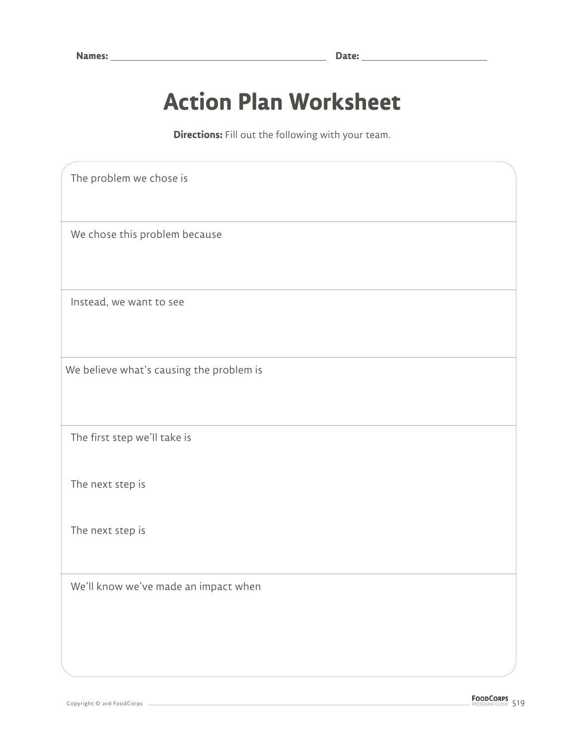# **Action Plan Worksheet**

**Directions:** Fill out the following with your team.

 The problem we chose is We chose this problem because Instead, we want to see We believe what's causing the problem is The first step we'll take is The next step is The next step is We'll know we've made an impact when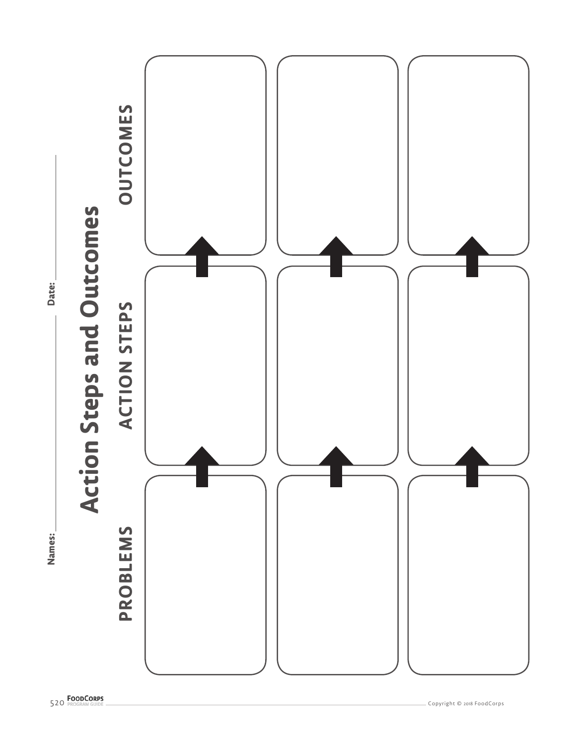